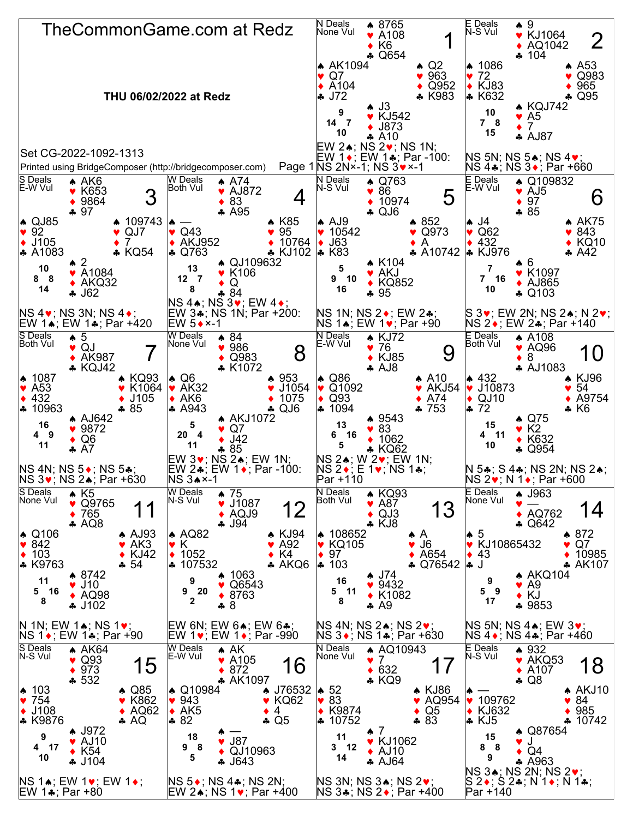